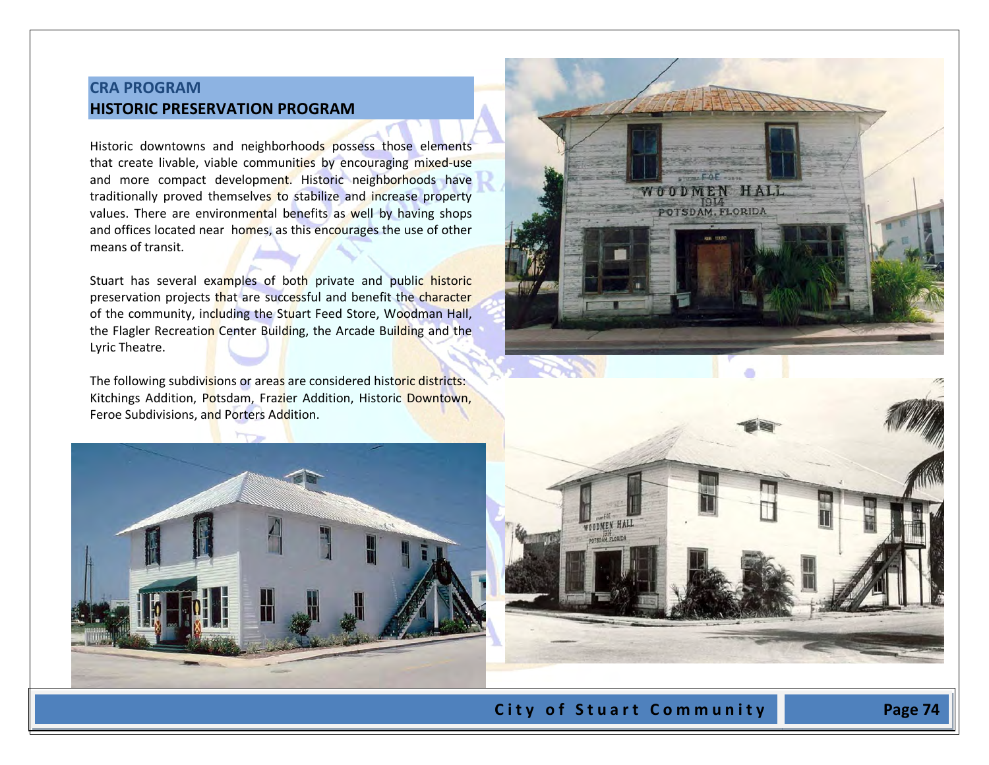# **CRA PROGRAM HISTORIC PRESERVATION PROGRAM**

Historic downtowns and neighborhoods possess those elements that create livable, viable communities by encouraging mixed-use and more compact development. Historic neighborhoods have traditionally proved themselves to stabilize and increase property values. There are environmental benefits as well by having shops and offices located near homes, as this encourages the use of other means of transit.

Stuart has several examples of both private and public historic preservation projects that are successful and benefit the character of the community, including the Stuart Feed Store, Woodman Hall, the Flagler Recreation Center Building, the Arcade Building and the Lyric Theatre.

The following subdivisions or areas are considered historic districts: Kitchings Addition, Potsdam, Frazier Addition, Historic Downtown, Feroe Subdivisions, and Porters Addition.







City of Stuart Community **Page 74**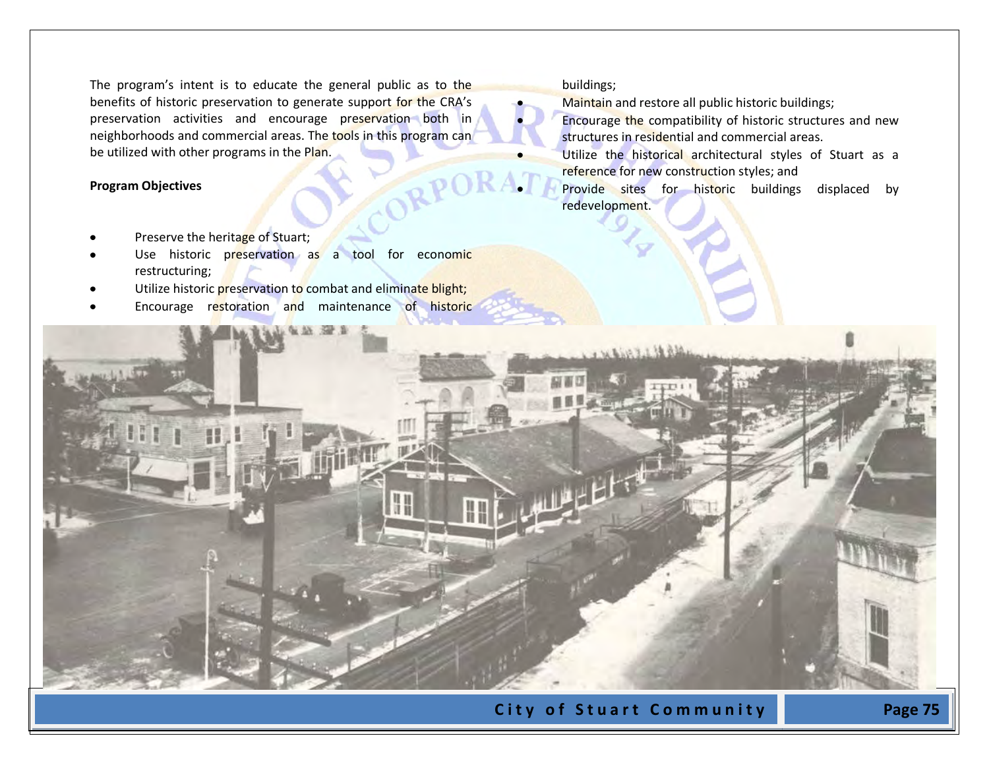The program's intent is to educate the general public as to the benefits of historic preservation to generate support for the CRA's preservation activities and encourage preservation both in neighborhoods and commercial areas. The tools in this program can be utilized with other programs in the Plan.

#### **Program Objectives**

- Preserve the heritage of Stuart;
- Use historic preservation as a tool for economic restructuring;
- Utilize historic preservation to combat and eliminate blight;
- Encourage restoration and maintenance of historic

#### buildings;

- Maintain and restore all public historic buildings;
- Encourage the compatibility of historic structures and new structures in residential and commercial areas.
- Utilize the historical architectural styles of Stuart as a reference for new construction styles; and
- Provide sites for historic buildings displaced by redevelopment.

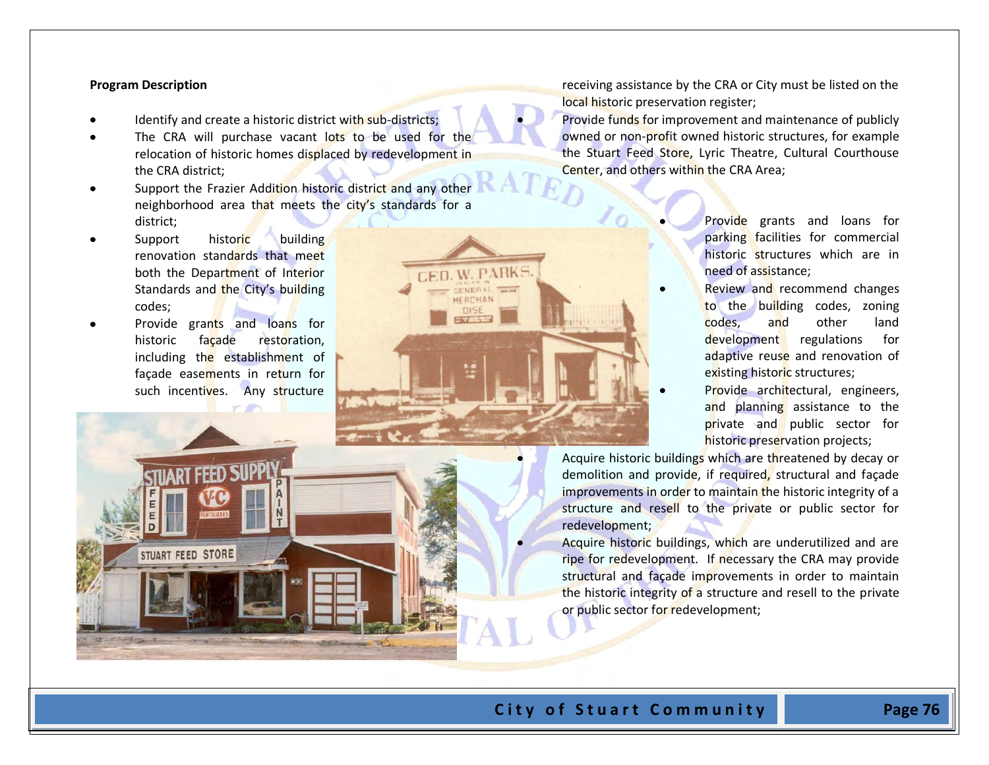#### **Program Description**

- Identify and create a historic district with sub-districts;
- The CRA will purchase vacant lots to be used for the relocation of historic homes displaced by redevelopment in the CRA district;
- Support the Frazier Addition historic district and any other neighborhood area that meets the city's standards for a district;

**ED.W. PARK** 

- Support historic building renovation standards that meet both the Department of Interior Standards and the City's building codes;
- Provide grants and loans for historic facade restoration, including the establishment of façade easements in return for such incentives. Any structure

**STUART FEED STORE** 

receiving assistance by the CRA or City must be listed on the local historic preservation register;

Provide funds for improvement and maintenance of publicly owned or non-profit owned historic structures, for example the Stuart Feed Store, Lyric Theatre, Cultural Courthouse Center, and others within the CRA Area;

- Provide grants and loans for parking facilities for commercial historic structures which are in need of assistance;
- Review and recommend changes to the building codes, zoning codes, and other land development regulations for adaptive reuse and renovation of existing historic structures;
- Provide architectural, engineers, and planning assistance to the private and public sector for historic preservation projects;

Acquire historic buildings which are threatened by decay or demolition and provide, if required, structural and façade improvements in order to maintain the historic integrity of a structure and resell to the private or public sector for redevelopment;

Acquire historic buildings, which are underutilized and are ripe for redevelopment. If necessary the CRA may provide structural and façade improvements in order to maintain the historic integrity of a structure and resell to the private or public sector for redevelopment;

## City of Stuart Community<sup>1</sup> Page 76